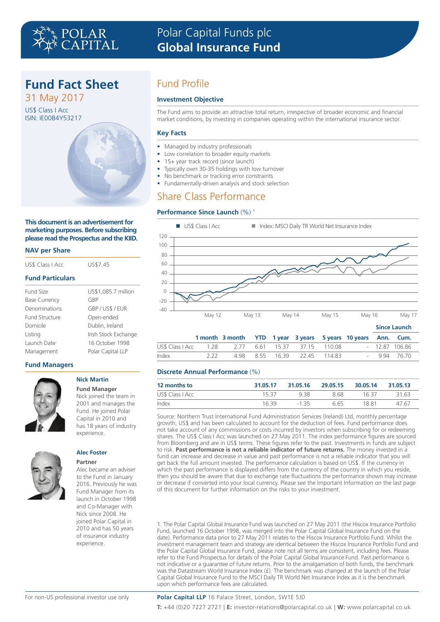# **Fund Fact Sheet**

31 May 2017 US\$ Class I Acc ISIN: IE00B4Y53217



## **This document is an advertisement for marketing purposes. Before subscribing please read the Prospectus and the KIID.**

## **NAV per Share**

| US\$7.45             |  |  |  |
|----------------------|--|--|--|
|                      |  |  |  |
| US\$1,085.7 million  |  |  |  |
| GBP                  |  |  |  |
| GBP/US\$/EUR         |  |  |  |
| Open-ended           |  |  |  |
| Dublin, Ireland      |  |  |  |
| Irish Stock Exchange |  |  |  |
| 16 October 1998      |  |  |  |
| Polar Capital LLP    |  |  |  |
|                      |  |  |  |

# **Fund Managers**



### **Nick Martin Fund Manager**

Nick joined the team in 2001 and manages the Fund. He joined Polar Capital in 2010 and has 18 years of industry experience.



### **Alec Foster Partner**

Alec became an adviser to the Fund in January 2016. Previously he was Fund Manager from its launch in October 1998 and Co-Manager with Nick since 2008. He joined Polar Capital in 2010 and has 50 years of insurance industry experience.

# Fund Profile

## **Investment Objective**

The Fund aims to provide an attractive total return, irrespective of broader economic and financial market conditions, by investing in companies operating within the international insurance sector.

# **Key Facts**

- Managed by industry professionals
- Low correlation to broader equity markets
- 15+ year track record (since launch)
- Typically own 30-35 holdings with low turnover
- No benchmark or tracking error constraints
- Fundamentally-driven analysis and stock selection

# Share Class Performance

# **Performance Since Launch (%)<sup>1</sup>**



|       |     |                                                               |  |                              |  | <b>SING LAUNGE</b> |
|-------|-----|---------------------------------------------------------------|--|------------------------------|--|--------------------|
|       |     | 1 month 3 month YTD 1 year 3 years 5 years 10 years Ann. Cum. |  |                              |  |                    |
|       |     |                                                               |  |                              |  | $-12.87$ 106.86    |
| Index | 222 |                                                               |  | 4.98 8.55 16.39 22.45 114.83 |  | $-9.94$ 76.70      |

# **Discrete Annual Performance** (%)

| 12 months to     | 31.05.17 | 31.05.16 | 29.05.15 30.05.14 |       | 31.05.13 |
|------------------|----------|----------|-------------------|-------|----------|
| US\$ Class   Acc | 1537     | 938      | 8 68              | 16.37 | 31.63    |
| Index            | 1639     | $-1.35$  | 6 65              | 18.81 | 47.67    |

Source: Northern Trust International Fund Administration Services (Ireland) Ltd, monthly percentage growth, US\$ and has been calculated to account for the deduction of fees. Fund performance does not take account of any commissions or costs incurred by investors when subscribing for or redeeming shares. The US\$ Class I Acc was launched on 27 May 2011. The index performance figures are sourced from Bloomberg and are in US\$ terms. These figures refer to the past. Investments in funds are subject to risk. **Past performance is not a reliable indicator of future returns.** The money invested in a fund can increase and decrease in value and past performance is not a reliable indicator that you will get back the full amount invested. The performance calculation is based on US\$. If the currency in which the past performance is displayed differs from the currency of the country in which you reside, then you should be aware that due to exchange rate fluctuations the performance shown may increase or decrease if converted into your local currency. Please see the Important Information on the last page of this document for further information on the risks to your investment.

1. The Polar Capital Global Insurance Fund was launched on 27 May 2011 (the Hiscox Insurance Portfolio Fund, launched 16 October 1998, was merged into the Polar Capital Global Insurance Fund on the date). Performance data prior to 27 May 2011 relates to the Hiscox Insurance Portfolio Fund. Whilst the investment management team and strategy are identical between the Hiscox Insurance Portfolio Fund and the Polar Capital Global Insurance Fund, please note not all terms are consistent, including fees. Please refer to the Fund Prospectus for details of the Polar Capital Global Insurance Fund. Past performance is not indicative or a guarantee of future returns. Prior to the amalgamation of both funds, the benchmark was the Datastream World Insurance Index (£). The benchmark was changed at the launch of the Polar Capital Global Insurance Fund to the MSCI Daily TR World Net Insurance Index as it is the benchmark upon which performance fees are calculated.

# **Polar Capital LLP** 16 Palace Street, London, SW1E 5JD

**T:** +44 (0)20 7227 2721 | **E:** investor-relations@polarcapital.co.uk | **W:** www.polarcapital.co.uk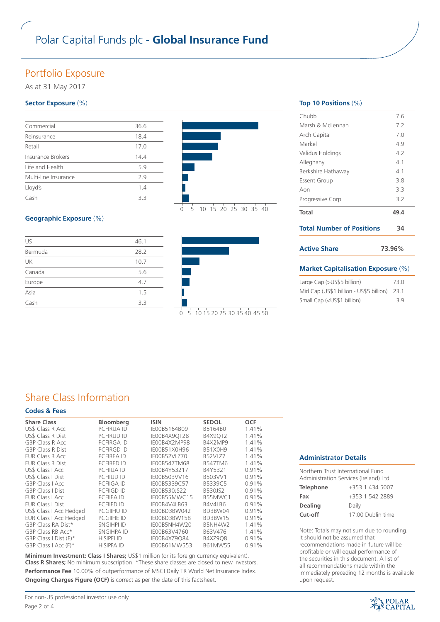# Polar Capital Funds plc - **Global Insurance Fund**

# Portfolio Exposure

As at 31 May 2017

# **Sector Exposure** (%)

| Commercial           | 36.6 |
|----------------------|------|
| Reinsurance          | 18.4 |
| Retail               | 17.0 |
| Insurance Brokers    | 14.4 |
| Life and Health      | 5.9  |
| Multi-line Insurance | 79   |
| Lloyd's              | 1.4  |
| Cash                 | 33   |

# **Geographic Exposure** (%)

| US      | 46.1 |
|---------|------|
| Bermuda | 28.2 |
| UK      | 10.7 |
| Canada  | 5.6  |
| Europe  | 4.7  |
| Asia    | 1.5  |
| Cash    | 3.3  |





| Top 10 Positions $(\%)$          |        |
|----------------------------------|--------|
| Chubb                            | 7.6    |
| Marsh & McLennan                 | 7.2    |
| Arch Capital                     | 7.0    |
| Markel                           | 4.9    |
| Validus Holdings                 | 4.2    |
| Alleghany                        | 41     |
| Berkshire Hathaway               | 41     |
| <b>Essent Group</b>              | 3.8    |
| Aon                              | 3.3    |
| Progressive Corp                 | 3.2    |
| <b>Total</b>                     | 49.4   |
| <b>Total Number of Positions</b> | 34     |
| <b>Active Share</b>              | 73.96% |
|                                  |        |

# **Market Capitalisation Exposure** (%)

| Large Cap (>US\$5 billion)                                 | 73.0 |
|------------------------------------------------------------|------|
| Mid Cap (US\$1 billion - US\$5 billion) 23.1               |      |
| Small Cap ( <us\$1 billion)<="" td=""><td>3.9</td></us\$1> | 3.9  |

# Share Class Information

# **Codes & Fees**

| <b>Share Class</b>            | Bloomberg         | <b>ISIN</b>         | <b>SEDOL</b>   | <b>OCF</b> |  |
|-------------------------------|-------------------|---------------------|----------------|------------|--|
| US\$ Class R Acc              | <b>PCFIRUA ID</b> | IE00B5164B09        | B5164B0        | 1.41%      |  |
| <b>US\$ Class R Dist</b>      | <b>PCFIRUD ID</b> | IE00B4X9OT28        | <b>B4X9OT2</b> | 1.41%      |  |
| <b>GBP Class R Acc.</b>       | <b>PCFIRGA ID</b> | IE00B4X2MP98        | B4X2MP9        | 1.41%      |  |
| <b>GBP Class R Dist</b>       | <b>PCFIRGD ID</b> | IE00B51X0H96        | B51X0H9        | 1.41%      |  |
| EUR Class R Acc               | <b>PCFIREA ID</b> | IE00B52VLZ70        | <b>B52VLZ7</b> | 1.41%      |  |
| <b>EUR Class R Dist</b>       | <b>PCFIRED ID</b> | <b>IE00B547TM68</b> | <b>B547TM6</b> | 1.41%      |  |
| US\$ Class   Acc              | <b>PCFIIUA ID</b> | IE00B4Y53217        | B4Y5321        | 0.91%      |  |
| US\$ Class   Dist             | <b>PCFIIUD ID</b> | IE00B503VV16        | B503VV1        | 0.91%      |  |
| <b>GBP Class I Acc</b>        | <b>PCFIIGA ID</b> | IE00B5339C57        | B5339C5        | 0.91%      |  |
| <b>GBP Class I Dist</b>       | <b>PCFIIGD ID</b> | IE00B530JS22        | B530JS2        | 0.91%      |  |
| <b>EUR Class I Acc.</b>       | PCFIIEA ID        | IE00B55MWC15        | B55MWC1        | 0.91%      |  |
| <b>EUR Class I Dist</b>       | PCFIIED ID        | IE00B4V4LB63        | B4V4LB6        | 0.91%      |  |
| US\$ Class I Acc Hedged       | <b>PCGIIHU ID</b> | IE00BD3BW042        | BD3BW04        | 0.91%      |  |
| <b>EUR Class I Acc Hedged</b> | <b>PCGIIHE ID</b> | IE00BD3BW158        | BD3BW15        | 0.91%      |  |
| GBP Class RA Dist*            | <b>SNGIHPI ID</b> | IE00B5NH4W20        | B5NH4W2        | 1.41%      |  |
| GBP Class RB Acc*             | SNGIHPA ID        | IE00B63V4760        | B63V476        | 1.41%      |  |
| GBP Class I Dist $(E)^*$      | <b>HISIPEI ID</b> | IE00B4XZ9Q84        | <b>B4XZ9Q8</b> | 0.91%      |  |
| GBP Class I Acc (F)*          | <b>HISIPFA ID</b> | IE00B61MW553        | B61MW55        | 0.91%      |  |
|                               |                   |                     |                |            |  |

**Minimum Investment: Class I Shares:** US\$1 million (or its foreign currency equivalent). **Class R Shares;** No minimum subscription. \*These share classes are closed to new investors. Performance Fee 10.00% of outperformance of MSCI Daily TR World Net Insurance Index. **Ongoing Charges Figure (OCF)** is correct as per the date of this factsheet.

## **Administrator Details**

| Northern Trust International Fund<br>Administration Services (Ireland) Ltd |                   |  |  |  |
|----------------------------------------------------------------------------|-------------------|--|--|--|
| <b>Telephone</b>                                                           | +353 1 434 5007   |  |  |  |
| Fax                                                                        | +353 1 542 2889   |  |  |  |
| <b>Dealing</b>                                                             | Daily             |  |  |  |
| Cut-off                                                                    | 17:00 Dublin time |  |  |  |

Note: Totals may not sum due to rounding. It should not be assumed that recommendations made in future will be profitable or will equal performance of the securities in this document. A list of all recommendations made within the immediately preceding 12 months is available upon request.

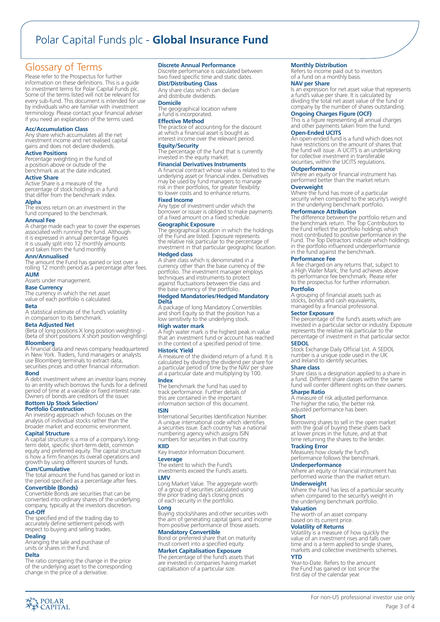# Polar Capital Funds plc - **Global Insurance Fund**

# Glossary of Terms

Please refer to the Prospectus for further information on these definitions. This is a guide to investment terms for Polar Capital Funds plc. Some of the terms listed will not be relevant for every sub-fund. This document is intended for use by individuals who are familiar with investment terminology. Please contact your financial adviser if you need an explanation of the terms used.

#### **Acc/Accumulation Class**

Any share which accumulates all the net investment income and net realised capital gains and does not declare dividends.

## **Active Positions**

Percentage weighting in the fund of a position above or outside of the benchmark as at the date indicated.

#### **Active Share**

Active Share is a measure of the percentage of stock holdings in a fund that differ from the benchmark index.

## **Alpha**

The excess return on an investment in the fund compared to the benchmark.

#### **Annual Fee**

A charge made each year to cover the expenses associated with running the fund. Although it is expressed in annual percentage figures it is usually split into 12 monthly amounts and taken from the fund monthly.

### **Ann/Annualised**

The amount the Fund has gained or lost over a rolling 12 month period as a percentage after fees. **AUM**

Assets under management.

**Base Currency** The currency in which the net asset value of each portfolio is calculated.

### **Beta**

A statistical estimate of the fund's volatility in comparison to its benchmark.

## **Beta Adjusted Net**

(Beta of long positions X long position weighting) - (beta of short positions X short position weighting)

# **Bloomberg**

A financial data and news company headquartered in New York. Traders, fund managers or analysts use Bloomberg terminals to extract data securities prices and other financial information.

#### **Bond**

A debt investment where an investor loans money to an entity which borrows the funds for a defined period of time at a variable or fixed interest rate. Owners of bonds are creditors of the issuer.

# **Bottom Up Stock Selection/**

**Portfolio Construction** An investing approach which focuses on the analysis of individual stocks rather than the broader market and economic environment.

### **Capital Structure**

A capital structure is a mix of a company's longterm debt, specific short-term debt, common equity and preferred equity. The capital structure is how a firm finances its overall operations and growth by using different sources of funds.

# **Cum/Cumulative**

The total amount the Fund has gained or lost in the period specified as a percentage after fees.

**Convertible (Bonds)** Convertible Bonds are securities that can be converted into ordinary shares of the underlying company, typically at the investors discretion. **Cut-Off**

# The specified end of the trading day to accurately define settlement periods with respect to buying and selling trades.

# **Dealing**

Arranging the sale and purchase of units or shares in the Fund.

#### **Delta**

**AN POLAR**<br>A CAPITAL

The ratio comparing the change in the price of the underlying asset to the corresponding change in the price of a derivative.

#### **Discrete Annual Performance**

Discrete performance is calculated between two fixed specific time and static dates.

# **Dist/Distributing Class**

Any share class which can declare and distribute dividends. **Domicile**

The geographical location where a fund is incorporated.

#### **Effective Method**

The practice of accounting for the discount at which a financial asset is bought as interest income over the relevant period.

**Equity/Security** The percentage of the fund that is currently invested in the equity market.

#### **Financial Derivatives Instruments**

A financial contract whose value is related to the underlying asset or financial index. Derivatives may be used by fund managers to manage risk in their portfolios, for greater flexibility to lower costs and to enhance returns.

#### **Fixed Income**

Any type of investment under which the borrower or issuer is obliged to make payments of a fixed amount on a fixed schedule.

**Geographic Exposure** The geographical location in which the holdings of the Fund are listed. Exposure represents the relative risk particular to the percentage of investment in that particular geographic location. **Hedged class**

A share class which is denominated in a currency other than the base currency of the portfolio. The investment manager employs techniques and instruments to protect against fluctuations between the class and the base currency of the portfolio.

#### **Hedged Mandatories/Hedged Mandatory Delta**

A package of long Mandatory Convertibles and short Equity so that the position has a low sensitivity to the underlying stock.

**High water mark** A high water mark is the highest peak in value that an investment fund or account has reached in the context of a specified period of time.

## **Historic Yield**

A measure of the dividend return of a fund. It is calculated by dividing the dividend per share for a particular period of time by the NAV per share at a particular date and multiplying by 100.

## **Index**

The benchmark the fund has used to track performance. Further details of this are contained in the important information section of this document.

### **ISIN**

International Securities Identification Number. A unique international code which identifies a securities issue. Each country has a national numbering agency which assigns ISIN numbers for securities in that country.

## **KIID** Key Investor Information Document. **Leverage** The extent to which the Fund's

investments exceed the Fund's assets. **LMV**

Long Market Value. The aggregate worth of a group of securities calculated using the prior trading day's closing prices of each security in the portfolio.

**Long** Buying stocks/shares and other securities with the aim of generating capital gains and income from positive performance of those assets.

**Mandatory Convertible** Bond or preferred share that on maturity must convert into a specified equity.

### **Market Capitalisation Exposure**

The percentage of the fund's assets that are invested in companies having market capitalisation of a particular size.

#### **Monthly Distribution**

Refers to income paid out to investors of a fund on a monthly basis.

**NAV per Share** Is an expression for net asset value that represents a fund's value per share. It is calculated by dividing the total net asset value of the fund or company by the number of shares outstanding.

#### **Ongoing Charges Figure (OCF)**

This is a figure representing all annual charges and other payments taken from the fund.

# **Open-Ended UCITS**

An open-ended fund is a fund which does not have restrictions on the amount of shares that the fund will issue. A UCITS is an undertaking for collective investment in transferable securities, within the UCITS regulations.

**Outperformance** Where an equity or financial instrument has performed better than the market return.

# **Overweight**

Where the fund has more of a particular security when compared to the security's weight in the underlying benchmark portfolio.

#### **Performance Attribution**

The difference between the portfolio return and the benchmark return. The Top Contributors to the Fund reflect the portfolio holdings which most contributed to positive performance in the Fund. The Top Detractors indicate which holdings in the portfolio influenced underperformance in the fund against the benchmark.

### **Performance Fee**

A fee charged on any returns that, subject to a High Water Mark, the fund achieves above its performance fee benchmark. Please refer to the prospectus for further information.

### **Portfolio**

A grouping of financial assets such as stocks, bonds and cash equivalents, managed by a financial professional.

#### **Sector Exposure**

The percentage of the fund's assets which are invested in a particular sector or industry. Exposure represents the relative risk particular to the percentage of investment in that particular sector.

## **SEDOL**

Stock Exchange Daily Official List. A SEDOL number is a unique code used in the UK and Ireland to identify securities.

**Share class** Share class is a designation applied to a share in a fund. Different share classes within the same fund will confer different rights on their owners.

### **Sharpe Ratio**

A measure of risk adjusted performance. The higher the ratio, the better risk adjusted performance has been.

**Tracking Error** Measures how closely the fund's performance follows the benchmark.

The worth of an asset company based on its current price. **Volatility of Returns**

**Underperformance**

**Underweight**

**Valuation**

**YTD**

#### **Short**

Borrowing shares to sell in the open market with the goal of buying these shares back at lower prices in the future, and at that time returning the shares to the lender.

Where an equity or financial instrument has<br>performed worse than the market return.

Volatility is a measure of how quickly the value of an investment rises and falls over time and is a term applied to single shares, markets and collective investments schemes.

For non-US professional investor use only

Page 3 of 4

Year-to-Date. Refers to the amount the Fund has gained or lost since the first day of the calendar year.

Where the fund has less of a particular security when compared to the security's weight in the underlying benchmark portfolio.